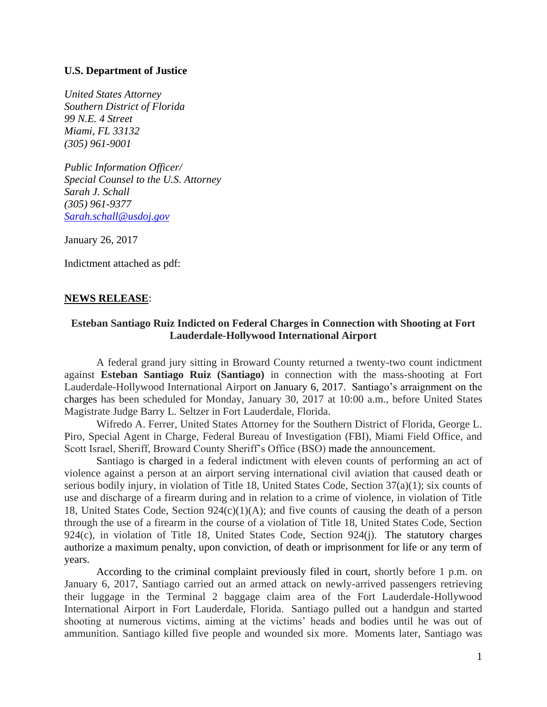## **U.S. Department of Justice**

*United States Attorney Southern District of Florida 99 N.E. 4 Street Miami, FL 33132 (305) 961-9001*

*Public Information Officer/ Special Counsel to the U.S. Attorney Sarah J. Schall (305) 961-9377 [Sarah.schall@usdoj.gov](mailto:Sarah.schall@usdoj.gov)*

January 26, 2017

Indictment attached as pdf:

## **NEWS RELEASE**:

## **Esteban Santiago Ruiz Indicted on Federal Charges in Connection with Shooting at Fort Lauderdale-Hollywood International Airport**

A federal grand jury sitting in Broward County returned a twenty-two count indictment against **Esteban Santiago Ruiz (Santiago)** in connection with the mass-shooting at Fort Lauderdale-Hollywood International Airport on January 6, 2017. Santiago's arraignment on the charges has been scheduled for Monday, January 30, 2017 at 10:00 a.m., before United States Magistrate Judge Barry L. Seltzer in Fort Lauderdale, Florida.

Wifredo A. Ferrer, United States Attorney for the Southern District of Florida, George L. Piro, Special Agent in Charge, Federal Bureau of Investigation (FBI), Miami Field Office, and Scott Israel, Sheriff, Broward County Sheriff's Office (BSO) made the announcement.

Santiago is charged in a federal indictment with eleven counts of performing an act of violence against a person at an airport serving international civil aviation that caused death or serious bodily injury, in violation of Title 18, United States Code, Section 37(a)(1); six counts of use and discharge of a firearm during and in relation to a crime of violence, in violation of Title 18, United States Code, Section 924(c)(1)(A); and five counts of causing the death of a person through the use of a firearm in the course of a violation of Title 18, United States Code, Section 924(c), in violation of Title 18, United States Code, Section 924(j). The statutory charges authorize a maximum penalty, upon conviction, of death or imprisonment for life or any term of years.

According to the criminal complaint previously filed in court, shortly before 1 p.m. on January 6, 2017, Santiago carried out an armed attack on newly-arrived passengers retrieving their luggage in the Terminal 2 baggage claim area of the Fort Lauderdale-Hollywood International Airport in Fort Lauderdale, Florida. Santiago pulled out a handgun and started shooting at numerous victims, aiming at the victims' heads and bodies until he was out of ammunition. Santiago killed five people and wounded six more. Moments later, Santiago was